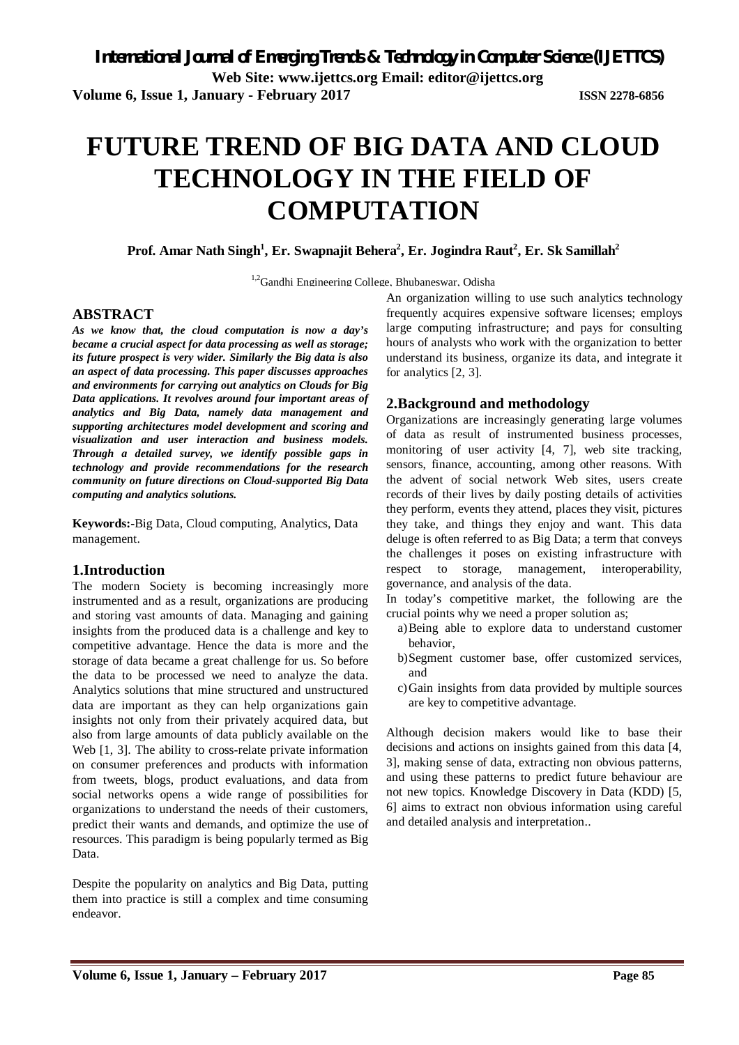# **FUTURE TREND OF BIG DATA AND CLOUD TECHNOLOGY IN THE FIELD OF COMPUTATION**

**Prof. Amar Nath Singh<sup>1</sup> , Er. Swapnajit Behera<sup>2</sup> , Er. Jogindra Raut<sup>2</sup> , Er. Sk Samillah<sup>2</sup>**

<sup>1,2</sup>Gandhi Engineering College, Bhubaneswar, Odisha

# **ABSTRACT**

*As we know that, the cloud computation is now a day's became a crucial aspect for data processing as well as storage; its future prospect is very wider. Similarly the Big data is also an aspect of data processing. This paper discusses approaches and environments for carrying out analytics on Clouds for Big Data applications. It revolves around four important areas of analytics and Big Data, namely data management and supporting architectures model development and scoring and visualization and user interaction and business models. Through a detailed survey, we identify possible gaps in technology and provide recommendations for the research community on future directions on Cloud-supported Big Data computing and analytics solutions.*

**Keywords:-**Big Data, Cloud computing, Analytics, Data management.

### **1.Introduction**

The modern Society is becoming increasingly more instrumented and as a result, organizations are producing and storing vast amounts of data. Managing and gaining insights from the produced data is a challenge and key to competitive advantage. Hence the data is more and the storage of data became a great challenge for us. So before the data to be processed we need to analyze the data. Analytics solutions that mine structured and unstructured data are important as they can help organizations gain insights not only from their privately acquired data, but also from large amounts of data publicly available on the Web [1, 3]. The ability to cross-relate private information on consumer preferences and products with information from tweets, blogs, product evaluations, and data from social networks opens a wide range of possibilities for organizations to understand the needs of their customers, predict their wants and demands, and optimize the use of resources. This paradigm is being popularly termed as Big Data.

Despite the popularity on analytics and Big Data, putting them into practice is still a complex and time consuming endeavor.

An organization willing to use such analytics technology frequently acquires expensive software licenses; employs large computing infrastructure; and pays for consulting hours of analysts who work with the organization to better understand its business, organize its data, and integrate it for analytics [2, 3].

# **2.Background and methodology**

Organizations are increasingly generating large volumes of data as result of instrumented business processes, monitoring of user activity [4, 7], web site tracking, sensors, finance, accounting, among other reasons. With the advent of social network Web sites, users create records of their lives by daily posting details of activities they perform, events they attend, places they visit, pictures they take, and things they enjoy and want. This data deluge is often referred to as Big Data; a term that conveys the challenges it poses on existing infrastructure with respect to storage, management, interoperability, governance, and analysis of the data.

In today's competitive market, the following are the crucial points why we need a proper solution as;

- a)Being able to explore data to understand customer behavior,
- b)Segment customer base, offer customized services, and
- c)Gain insights from data provided by multiple sources are key to competitive advantage.

Although decision makers would like to base their decisions and actions on insights gained from this data [4, 3], making sense of data, extracting non obvious patterns, and using these patterns to predict future behaviour are not new topics. Knowledge Discovery in Data (KDD) [5, 6] aims to extract non obvious information using careful and detailed analysis and interpretation..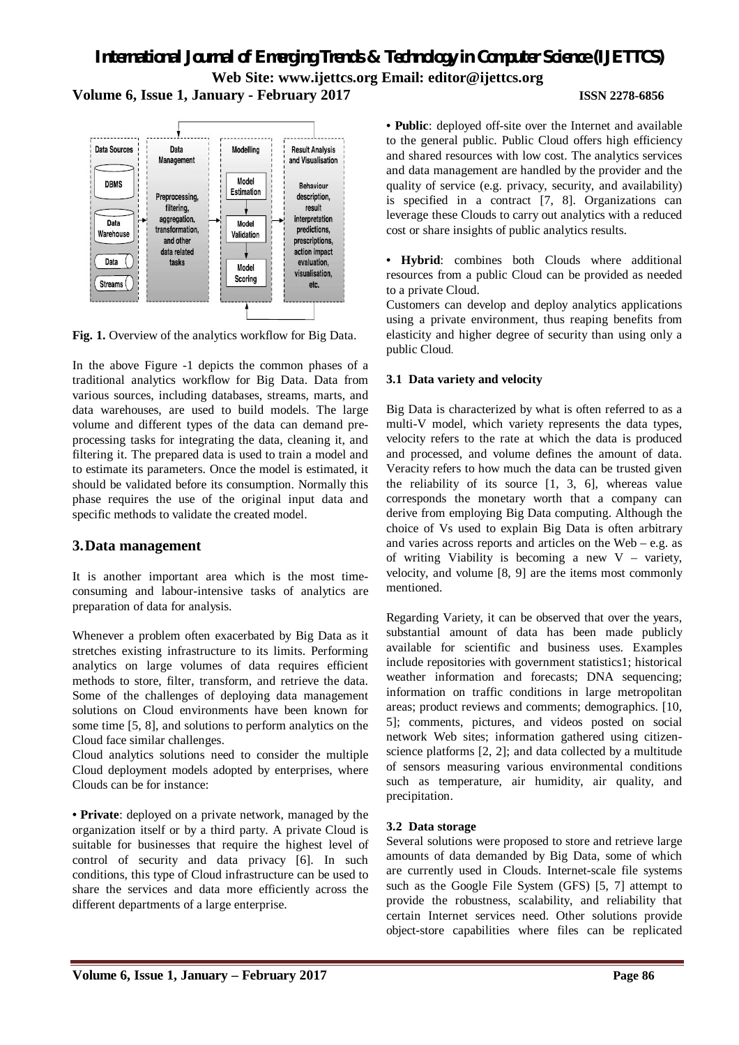# *International Journal of Emerging Trends & Technology in Computer Science (IJETTCS)* **Web Site: www.ijettcs.org Email: editor@ijettcs.org Volume 6, Issue 1, January - February 2017 ISSN 2278-6856**



Fig. 1. Overview of the analytics workflow for Big Data.

In the above Figure -1 depicts the common phases of a traditional analytics workflow for Big Data. Data from various sources, including databases, streams, marts, and data warehouses, are used to build models. The large volume and different types of the data can demand preprocessing tasks for integrating the data, cleaning it, and filtering it. The prepared data is used to train a model and to estimate its parameters. Once the model is estimated, it should be validated before its consumption. Normally this phase requires the use of the original input data and specific methods to validate the created model.

# **3.Data management**

It is another important area which is the most timeconsuming and labour-intensive tasks of analytics are preparation of data for analysis.

Whenever a problem often exacerbated by Big Data as it stretches existing infrastructure to its limits. Performing analytics on large volumes of data requires efficient methods to store, filter, transform, and retrieve the data. Some of the challenges of deploying data management solutions on Cloud environments have been known for some time [5, 8], and solutions to perform analytics on the Cloud face similar challenges.

Cloud analytics solutions need to consider the multiple Cloud deployment models adopted by enterprises, where Clouds can be for instance:

**• Private**: deployed on a private network, managed by the organization itself or by a third party. A private Cloud is suitable for businesses that require the highest level of control of security and data privacy [6]. In such conditions, this type of Cloud infrastructure can be used to share the services and data more efficiently across the different departments of a large enterprise.

**• Public**: deployed off-site over the Internet and available to the general public. Public Cloud offers high efficiency and shared resources with low cost. The analytics services and data management are handled by the provider and the quality of service (e.g. privacy, security, and availability) is specified in a contract [7, 8]. Organizations can leverage these Clouds to carry out analytics with a reduced cost or share insights of public analytics results.

**• Hybrid**: combines both Clouds where additional resources from a public Cloud can be provided as needed to a private Cloud.

Customers can develop and deploy analytics applications using a private environment, thus reaping benefits from elasticity and higher degree of security than using only a public Cloud.

# **3.1 Data variety and velocity**

Big Data is characterized by what is often referred to as a multi-V model, which variety represents the data types, velocity refers to the rate at which the data is produced and processed, and volume defines the amount of data. Veracity refers to how much the data can be trusted given the reliability of its source [1, 3, 6], whereas value corresponds the monetary worth that a company can derive from employing Big Data computing. Although the choice of Vs used to explain Big Data is often arbitrary and varies across reports and articles on the Web – e.g. as of writing Viability is becoming a new  $V -$  variety, velocity, and volume [8, 9] are the items most commonly mentioned.

Regarding Variety, it can be observed that over the years, substantial amount of data has been made publicly available for scientific and business uses. Examples include repositories with government statistics1; historical weather information and forecasts; DNA sequencing; information on traffic conditions in large metropolitan areas; product reviews and comments; demographics. [10, 5]; comments, pictures, and videos posted on social network Web sites; information gathered using citizenscience platforms [2, 2]; and data collected by a multitude of sensors measuring various environmental conditions such as temperature, air humidity, air quality, and precipitation.

# **3.2 Data storage**

Several solutions were proposed to store and retrieve large amounts of data demanded by Big Data, some of which are currently used in Clouds. Internet-scale file systems such as the Google File System (GFS) [5, 7] attempt to provide the robustness, scalability, and reliability that certain Internet services need. Other solutions provide object-store capabilities where files can be replicated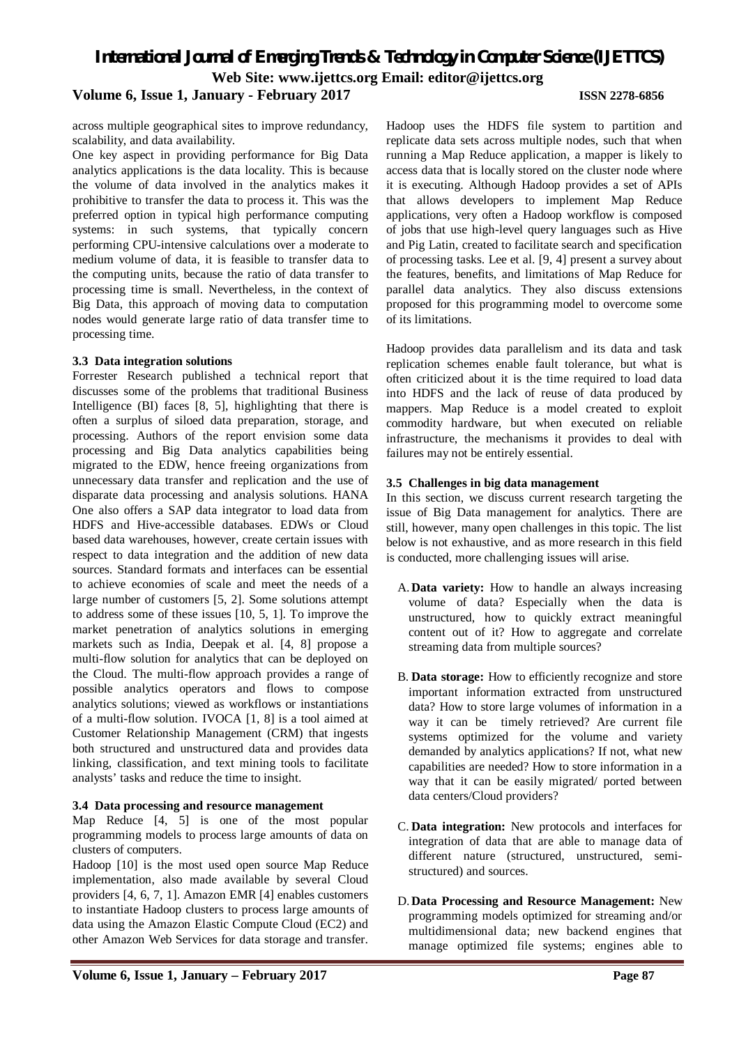# *International Journal of Emerging Trends & Technology in Computer Science (IJETTCS)* **Web Site: www.ijettcs.org Email: editor@ijettcs.org Volume 6, Issue 1, January - February 2017 ISSN 2278-6856**

across multiple geographical sites to improve redundancy, scalability, and data availability.

One key aspect in providing performance for Big Data analytics applications is the data locality. This is because the volume of data involved in the analytics makes it prohibitive to transfer the data to process it. This was the preferred option in typical high performance computing systems: in such systems, that typically concern performing CPU-intensive calculations over a moderate to medium volume of data, it is feasible to transfer data to the computing units, because the ratio of data transfer to processing time is small. Nevertheless, in the context of Big Data, this approach of moving data to computation nodes would generate large ratio of data transfer time to processing time.

### **3.3 Data integration solutions**

Forrester Research published a technical report that discusses some of the problems that traditional Business Intelligence (BI) faces [8, 5], highlighting that there is often a surplus of siloed data preparation, storage, and processing. Authors of the report envision some data processing and Big Data analytics capabilities being migrated to the EDW, hence freeing organizations from unnecessary data transfer and replication and the use of disparate data processing and analysis solutions. HANA One also offers a SAP data integrator to load data from HDFS and Hive-accessible databases. EDWs or Cloud based data warehouses, however, create certain issues with respect to data integration and the addition of new data sources. Standard formats and interfaces can be essential to achieve economies of scale and meet the needs of a large number of customers [5, 2]. Some solutions attempt to address some of these issues [10, 5, 1]. To improve the market penetration of analytics solutions in emerging markets such as India, Deepak et al. [4, 8] propose a multi-flow solution for analytics that can be deployed on the Cloud. The multi-flow approach provides a range of possible analytics operators and flows to compose analytics solutions; viewed as workflows or instantiations of a multi-flow solution. IVOCA [1, 8] is a tool aimed at Customer Relationship Management (CRM) that ingests both structured and unstructured data and provides data linking, classification, and text mining tools to facilitate analysts' tasks and reduce the time to insight.

### **3.4 Data processing and resource management**

Map Reduce [4, 5] is one of the most popular programming models to process large amounts of data on clusters of computers.

Hadoop [10] is the most used open source Map Reduce implementation, also made available by several Cloud providers [4, 6, 7, 1]. Amazon EMR [4] enables customers to instantiate Hadoop clusters to process large amounts of data using the Amazon Elastic Compute Cloud (EC2) and other Amazon Web Services for data storage and transfer.

Hadoop uses the HDFS file system to partition and replicate data sets across multiple nodes, such that when running a Map Reduce application, a mapper is likely to access data that is locally stored on the cluster node where it is executing. Although Hadoop provides a set of APIs that allows developers to implement Map Reduce applications, very often a Hadoop workflow is composed of jobs that use high-level query languages such as Hive and Pig Latin, created to facilitate search and specification of processing tasks. Lee et al. [9, 4] present a survey about the features, benefits, and limitations of Map Reduce for parallel data analytics. They also discuss extensions proposed for this programming model to overcome some of its limitations.

Hadoop provides data parallelism and its data and task replication schemes enable fault tolerance, but what is often criticized about it is the time required to load data into HDFS and the lack of reuse of data produced by mappers. Map Reduce is a model created to exploit commodity hardware, but when executed on reliable infrastructure, the mechanisms it provides to deal with failures may not be entirely essential.

# **3.5 Challenges in big data management**

In this section, we discuss current research targeting the issue of Big Data management for analytics. There are still, however, many open challenges in this topic. The list below is not exhaustive, and as more research in this field is conducted, more challenging issues will arise.

- A.**Data variety:** How to handle an always increasing volume of data? Especially when the data is unstructured, how to quickly extract meaningful content out of it? How to aggregate and correlate streaming data from multiple sources?
- B. **Data storage:** How to efficiently recognize and store important information extracted from unstructured data? How to store large volumes of information in a way it can be timely retrieved? Are current file systems optimized for the volume and variety demanded by analytics applications? If not, what new capabilities are needed? How to store information in a way that it can be easily migrated/ ported between data centers/Cloud providers?
- C. **Data integration:** New protocols and interfaces for integration of data that are able to manage data of different nature (structured, unstructured, semistructured) and sources.
- D.**Data Processing and Resource Management:** New programming models optimized for streaming and/or multidimensional data; new backend engines that manage optimized file systems; engines able to